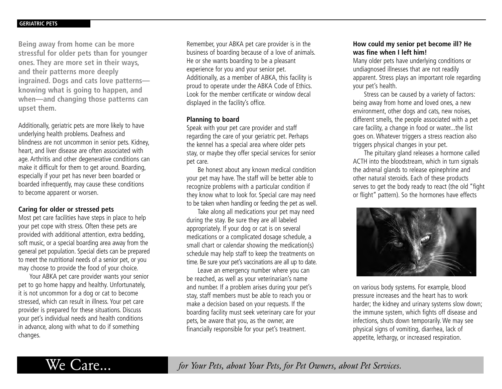**Being away from home can be more stressful for older pets than for younger ones. They are more set in their ways, and their patterns more deeply ingrained. Dogs and cats love patterns knowing what is going to happen, and when—and changing those patterns can upset them.**

Additionally, geriatric pets are more likely to have underlying health problems. Deafness and blindness are not uncommon in senior pets. Kidney, heart, and liver disease are often associated with age. Arthritis and other degenerative conditions can make it difficult for them to get around. Boarding, especially if your pet has never been boarded or boarded infrequently, may cause these conditions to become apparent or worsen.

## **Caring for older or stressed pets**

Most pet care facilities have steps in place to help your pet cope with stress. Often these pets are provided with additional attention, extra bedding, soft music, or a special boarding area away from the general pet population. Special diets can be prepared to meet the nutritional needs of a senior pet, or you may choose to provide the food of your choice.

Your ABKA pet care provider wants your senior pet to go home happy and healthy. Unfortunately, it is not uncommon for a dog or cat to become stressed, which can result in illness. Your pet care provider is prepared for these situations. Discuss your pet's individual needs and health conditions in advance, along with what to do if something changes.

Remember, your ABKA pet care provider is in the business of boarding because of a love of animals. He or she wants boarding to be a pleasant experience for you and your senior pet. Additionally, as a member of ABKA, this facility is proud to operate under the ABKA Code of Ethics. Look for the member certificate or window decal displayed in the facility's office.

## **Planning to board**

Speak with your pet care provider and staff regarding the care of your geriatric pet. Perhaps the kennel has a special area where older pets stay, or maybe they offer special services for senior pet care.

Be honest about any known medical condition your pet may have. The staff will be better able to recognize problems with a particular condition if they know what to look for. Special care may need to be taken when handling or feeding the pet as well.

Take along all medications your pet may need during the stay. Be sure they are all labeled appropriately. If your dog or cat is on several medications or a complicated dosage schedule, a small chart or calendar showing the medication(s) schedule may help staff to keep the treatments on time. Be sure your pet's vaccinations are all up to date.

Leave an emergency number where you can be reached, as well as your veterinarian's name and number. If a problem arises during your pet's stay, staff members must be able to reach you or make a decision based on your requests. If the boarding facility must seek veterinary care for your pets, be aware that you, as the owner, are financially responsible for your pet's treatment.

## **How could my senior pet become ill? He was fine when I left him!**

Many older pets have underlying conditions or undiagnosed illnesses that are not readily apparent. Stress plays an important role regarding your pet's health.

Stress can be caused by a variety of factors: being away from home and loved ones, a new environment, other dogs and cats, new noises, different smells, the people associated with a pet care facility, a change in food or water...the list goes on. Whatever triggers a stress reaction also triggers physical changes in your pet.

The pituitary gland releases a hormone called ACTH into the bloodstream, which in turn signals the adrenal glands to release epinephrine and other natural steroids. Each of these products serves to get the body ready to react (the old "fight or flight" pattern). So the hormones have effects



on various body systems. For example, blood pressure increases and the heart has to work harder; the kidney and urinary systems slow down; the immune system, which fights off disease and infections, shuts down temporarily. We may see physical signs of vomiting, diarrhea, lack of appetite, lethargy, or increased respiration.

We Care... *for Your Pets, about Your Pets, for Pet Owners, about Pet Services.*